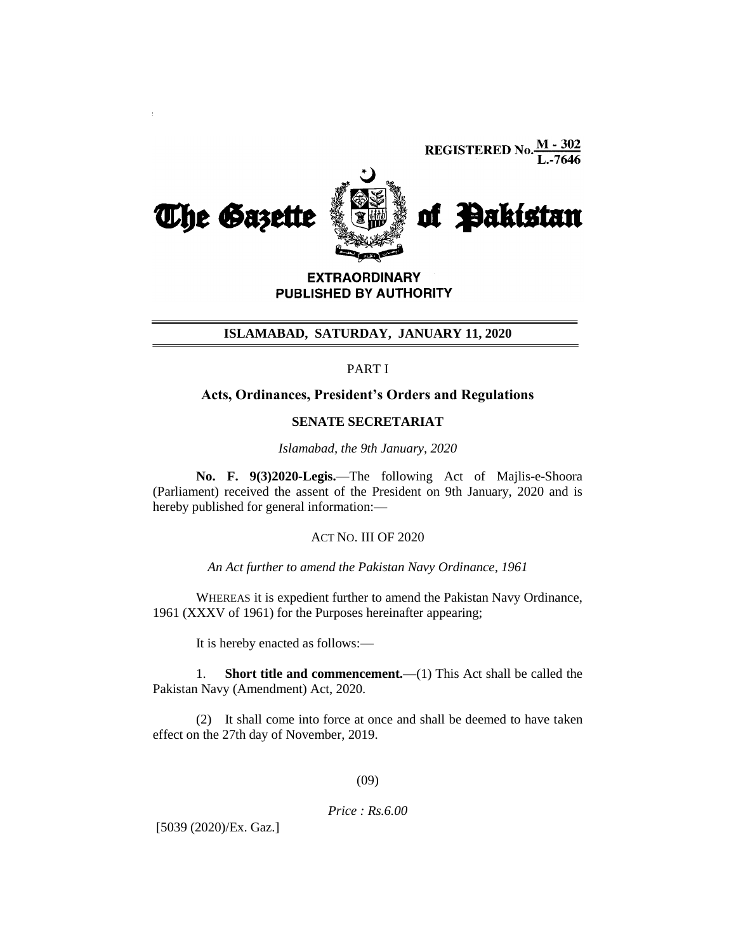

**EXTRAORDINARY** PUBLISHED BY AUTHORITY

### **ISLAMABAD, SATURDAY, JANUARY 11, 2020**

PART I

# **Acts, Ordinances, President's Orders and Regulations**

#### **SENATE SECRETARIAT**

*Islamabad, the 9th January, 2020*

**No. F. 9(3)2020-Legis.**—The following Act of Majlis-e-Shoora (Parliament) received the assent of the President on 9th January, 2020 and is hereby published for general information:—

# ACT NO. III OF 2020

*An Act further to amend the Pakistan Navy Ordinance, 1961*

WHEREAS it is expedient further to amend the Pakistan Navy Ordinance, 1961 (XXXV of 1961) for the Purposes hereinafter appearing;

It is hereby enacted as follows:—

1. **Short title and commencement.—**(1) This Act shall be called the Pakistan Navy (Amendment) Act, 2020.

(2) It shall come into force at once and shall be deemed to have taken effect on the 27th day of November, 2019.

(09)

#### *Price : Rs.6.00*

[5039 (2020)/Ex. Gaz.]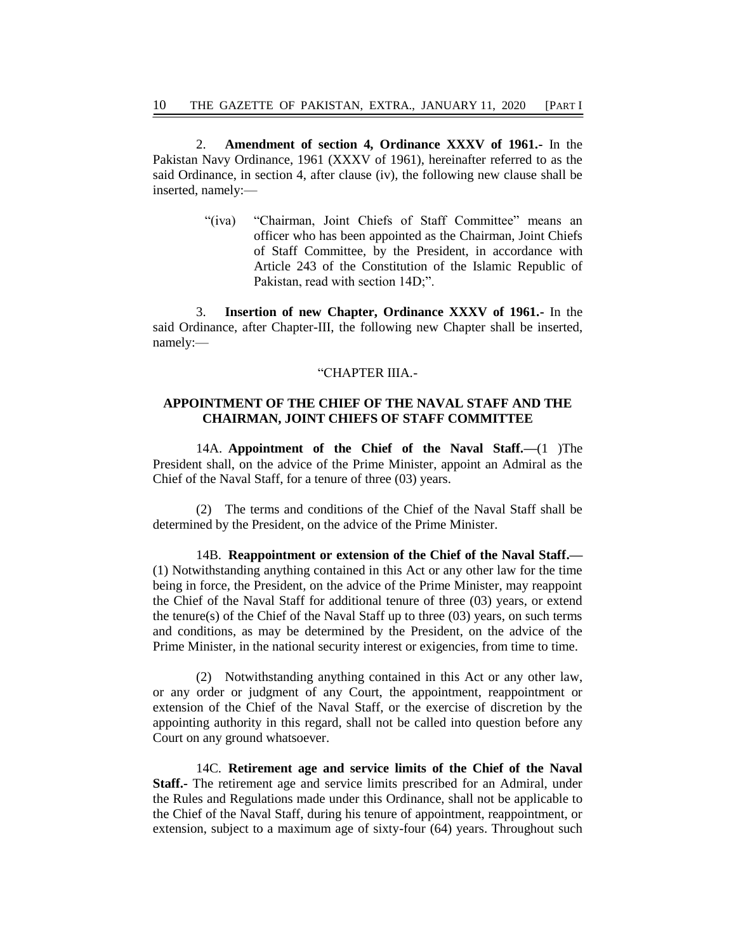2. **Amendment of section 4, Ordinance XXXV of 1961.-** In the Pakistan Navy Ordinance, 1961 (XXXV of 1961), hereinafter referred to as the said Ordinance, in section 4, after clause (iv), the following new clause shall be inserted, namely:—

> "(iva) "Chairman, Joint Chiefs of Staff Committee" means an officer who has been appointed as the Chairman, Joint Chiefs of Staff Committee, by the President, in accordance with Article 243 of the Constitution of the Islamic Republic of Pakistan, read with section 14D;".

3. **Insertion of new Chapter, Ordinance XXXV of 1961.-** In the said Ordinance, after Chapter-III, the following new Chapter shall be inserted, namely:—

#### "CHAPTER IIIA.-

# **APPOINTMENT OF THE CHIEF OF THE NAVAL STAFF AND THE CHAIRMAN, JOINT CHIEFS OF STAFF COMMITTEE**

14A. **Appointment of the Chief of the Naval Staff.—**(1 )The President shall, on the advice of the Prime Minister, appoint an Admiral as the Chief of the Naval Staff, for a tenure of three (03) years.

(2) The terms and conditions of the Chief of the Naval Staff shall be determined by the President, on the advice of the Prime Minister.

14B. **Reappointment or extension of the Chief of the Naval Staff.—** (1) Notwithstanding anything contained in this Act or any other law for the time being in force, the President, on the advice of the Prime Minister, may reappoint the Chief of the Naval Staff for additional tenure of three (03) years, or extend the tenure(s) of the Chief of the Naval Staff up to three (03) years, on such terms and conditions, as may be determined by the President, on the advice of the Prime Minister, in the national security interest or exigencies, from time to time.

(2) Notwithstanding anything contained in this Act or any other law, or any order or judgment of any Court, the appointment, reappointment or extension of the Chief of the Naval Staff, or the exercise of discretion by the appointing authority in this regard, shall not be called into question before any Court on any ground whatsoever.

14C. **Retirement age and service limits of the Chief of the Naval Staff.-** The retirement age and service limits prescribed for an Admiral, under the Rules and Regulations made under this Ordinance, shall not be applicable to the Chief of the Naval Staff, during his tenure of appointment, reappointment, or extension, subject to a maximum age of sixty-four (64) years. Throughout such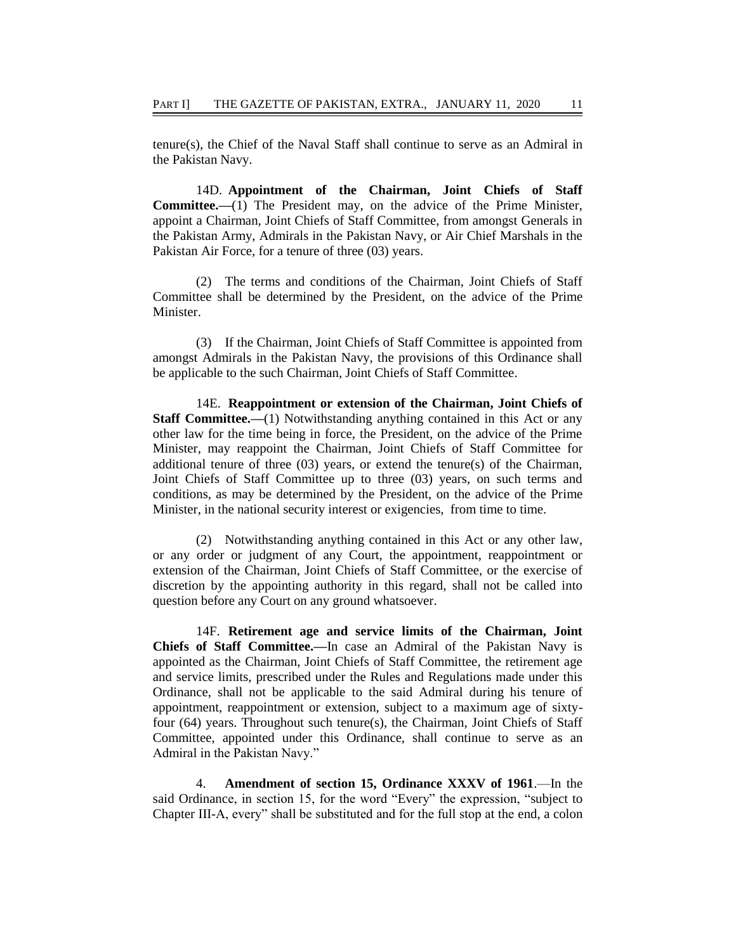tenure(s), the Chief of the Naval Staff shall continue to serve as an Admiral in the Pakistan Navy.

14D. **Appointment of the Chairman, Joint Chiefs of Staff Committee.—**(1) The President may, on the advice of the Prime Minister, appoint a Chairman, Joint Chiefs of Staff Committee, from amongst Generals in the Pakistan Army, Admirals in the Pakistan Navy, or Air Chief Marshals in the Pakistan Air Force, for a tenure of three (03) years.

(2) The terms and conditions of the Chairman, Joint Chiefs of Staff Committee shall be determined by the President, on the advice of the Prime Minister.

(3) If the Chairman, Joint Chiefs of Staff Committee is appointed from amongst Admirals in the Pakistan Navy, the provisions of this Ordinance shall be applicable to the such Chairman, Joint Chiefs of Staff Committee.

14E. **Reappointment or extension of the Chairman, Joint Chiefs of Staff Committee.—(1)** Notwithstanding anything contained in this Act or any other law for the time being in force, the President, on the advice of the Prime Minister, may reappoint the Chairman, Joint Chiefs of Staff Committee for additional tenure of three (03) years, or extend the tenure(s) of the Chairman, Joint Chiefs of Staff Committee up to three (03) years, on such terms and conditions, as may be determined by the President, on the advice of the Prime Minister, in the national security interest or exigencies, from time to time.

(2) Notwithstanding anything contained in this Act or any other law, or any order or judgment of any Court, the appointment, reappointment or extension of the Chairman, Joint Chiefs of Staff Committee, or the exercise of discretion by the appointing authority in this regard, shall not be called into question before any Court on any ground whatsoever.

14F. **Retirement age and service limits of the Chairman, Joint Chiefs of Staff Committee.—**In case an Admiral of the Pakistan Navy is appointed as the Chairman, Joint Chiefs of Staff Committee, the retirement age and service limits, prescribed under the Rules and Regulations made under this Ordinance, shall not be applicable to the said Admiral during his tenure of appointment, reappointment or extension, subject to a maximum age of sixtyfour (64) years. Throughout such tenure(s), the Chairman, Joint Chiefs of Staff Committee, appointed under this Ordinance, shall continue to serve as an Admiral in the Pakistan Navy."

4. **Amendment of section 15, Ordinance XXXV of 1961**.—In the said Ordinance, in section 15, for the word "Every" the expression, "subject to Chapter III-A, every" shall be substituted and for the full stop at the end, a colon